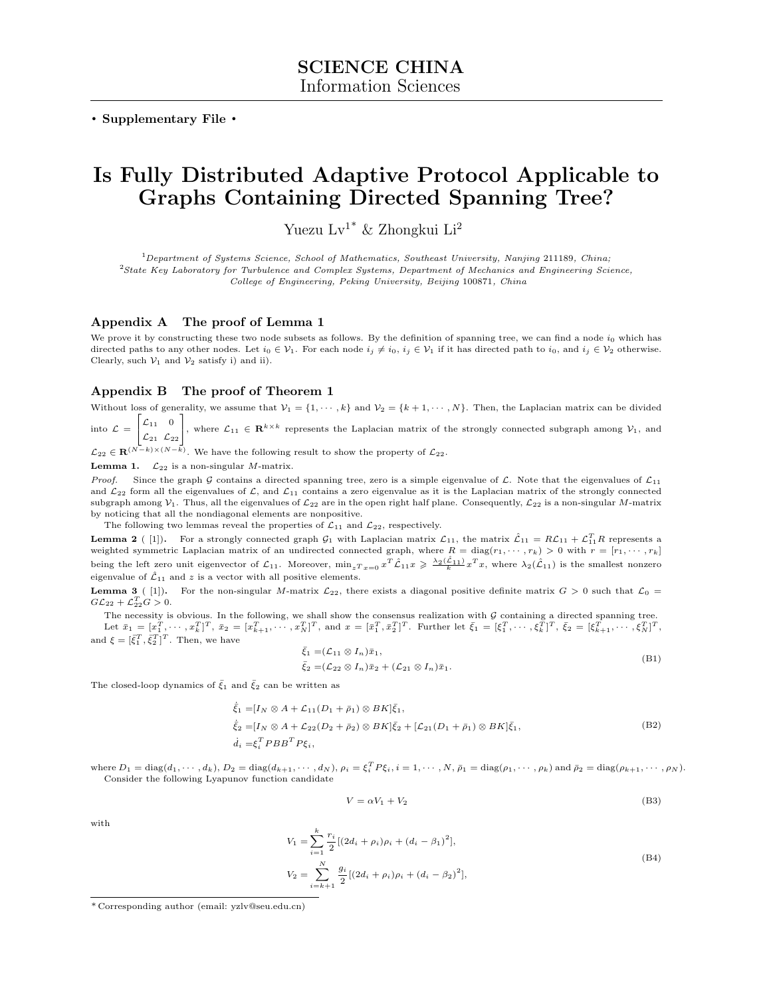. Supplementary File .

## Is Fully Distributed Adaptive Protocol Applicable to Graphs Containing Directed Spanning Tree?

Yuezu Lv1\* & Zhongkui Li<sup>2</sup>

 $1$ Department of Systems Science, School of Mathematics, Southeast University, Nanjing 211189, China; <sup>2</sup>State Key Laboratory for Turbulence and Complex Systems, Department of Mechanics and Engineering Science, College of Engineering, Peking University, Beijing 100871, China

## Appendix A The proof of Lemma 1

We prove it by constructing these two node subsets as follows. By the definition of spanning tree, we can find a node  $i_0$  which has directed paths to any other nodes. Let  $i_0 \in V_1$ . For each node  $i_j \neq i_0$ ,  $i_j \in V_1$  if it has directed path to  $i_0$ , and  $i_j \in V_2$  otherwise. Clearly, such  $V_1$  and  $V_2$  satisfy i) and ii).

## Appendix B The proof of Theorem 1

Without loss of generality, we assume that  $\mathcal{V}_1 = \{1, \dots, k\}$  and  $\mathcal{V}_2 = \{k+1, \dots, N\}$ . Then, the Laplacian matrix can be divided into  $\mathcal{L} =$ Г  $\mathcal{L}_{11}$  0 1

 $\mathbf{I}$  $\mathcal{L}_{21}$   $\mathcal{L}_{22}$ , where  $\mathcal{L}_{11} \in \mathbb{R}^{k \times k}$  represents the Laplacian matrix of the strongly connected subgraph among  $\mathcal{V}_1$ , and

 $\mathcal{L}_{22} \in \mathbf{R}^{(N-k)\times(N-k)}$ . We have the following result to show the property of  $\mathcal{L}_{22}$ .

**Lemma 1.**  $\mathcal{L}_{22}$  is a non-singular *M*-matrix.

*Proof.* Since the graph G contains a directed spanning tree, zero is a simple eigenvalue of  $\mathcal{L}$ . Note that the eigenvalues of  $\mathcal{L}_{11}$ and  $\mathcal{L}_{22}$  form all the eigenvalues of  $\mathcal{L}$ , and  $\mathcal{L}_{11}$  contains a zero eigenvalue as it is the Laplacian matrix of the strongly connected subgraph among  $V_1$ . Thus, all the eigenvalues of  $\mathcal{L}_{22}$  are in the open right half plane. Consequently,  $\mathcal{L}_{22}$  is a non-singular M-matrix by noticing that all the nondiagonal elements are nonpositive.

The following two lemmas reveal the properties of  $\mathcal{L}_{11}$  and  $\mathcal{L}_{22}$ , respectively.

<span id="page-0-0"></span>**Lemma 2** ([\[1\]](#page-1-0)). For a strongly connected graph  $G_1$  with Laplacian matrix  $\mathcal{L}_{11}$ , the matrix  $\hat{\mathcal{L}}_{11} = R\mathcal{L}_{11} + \mathcal{L}_{11}^T R$  represents a weighted symmetric Laplacian matrix of an undirected connected graph, where  $R = \text{diag}(r_1, \dots, r_k) > 0$  with  $r = [r_1, \dots, r_k]$ being the left zero unit eigenvector of  $\mathcal{L}_{11}$ . Moreover,  $\min_{z} T_{x=0} x^T \hat{\mathcal{L}}_{11} x \geqslant \frac{\lambda_2(\hat{\mathcal{L}}_{11})}{k} x^T x$ , where  $\lambda_2(\hat{\mathcal{L}}_{11})$  is the smallest nonzero eigenvalue of  $\hat{\mathcal{L}}_{11}$  and z is a vector with all positive elements.

<span id="page-0-1"></span>**Lemma 3** ( [\[1\]](#page-1-0)). For the non-singular M-matrix  $\mathcal{L}_{22}$ , there exists a diagonal positive definite matrix  $G > 0$  such that  $\mathcal{L}_0 =$  $GL_{22} + \mathcal{L}_{22}^T G > 0.$ 

The necessity is obvious. In the following, we shall show the consensus realization with  $G$  containing a directed spanning tree. Let  $\bar{x}_1 = [x_1^T, \dots, x_k^T]^T$ ,  $\bar{x}_2 = [x_{k+1}^T, \dots, x_N^T]^T$ , and  $x = [\bar{x}_1^T, \bar{x}_2^T]^T$ . Further let  $\bar{\xi}_1 = [\xi_1^T, \dots, \xi_k^T]^T$ ,  $\bar{\xi}_2 = [\xi_{k+1}^T, \dots, \xi_N^T]^T$ , and  $\xi = [\bar{\xi}_1^T, \bar{\xi}_2^T]^T$ . Then, we have

$$
\bar{\xi}_1 = (\mathcal{L}_{11} \otimes I_n)\bar{x}_1,
$$
  
\n
$$
\bar{\xi}_2 = (\mathcal{L}_{22} \otimes I_n)\bar{x}_2 + (\mathcal{L}_{21} \otimes I_n)\bar{x}_1.
$$
\n(B1)

The closed-loop dynamics of  $\bar{\xi}_1$  and  $\bar{\xi}_2$  can be written as

$$
\begin{aligned}\n\dot{\tilde{\xi}}_1 &= [I_N \otimes A + \mathcal{L}_{11}(D_1 + \bar{\rho}_1) \otimes BK] \bar{\xi}_1, \\
\dot{\tilde{\xi}}_2 &= [I_N \otimes A + \mathcal{L}_{22}(D_2 + \bar{\rho}_2) \otimes BK] \bar{\xi}_2 + [\mathcal{L}_{21}(D_1 + \bar{\rho}_1) \otimes BK] \bar{\xi}_1, \\
\dot{d}_i &= \xi_i^T P B B^T P \xi_i,\n\end{aligned} \tag{B2}
$$

where  $D_1 = \text{diag}(d_1, \dots, d_k)$ ,  $D_2 = \text{diag}(d_{k+1}, \dots, d_N)$ ,  $\rho_i = \xi_i^T P \xi_i$ ,  $i = 1, \dots, N$ ,  $\bar{\rho}_1 = \text{diag}(\rho_1, \dots, \rho_k)$  and  $\bar{\rho}_2 = \text{diag}(\rho_{k+1}, \dots, \rho_N)$ . Consider the following Lyapunov function candidate

$$
V = \alpha V_1 + V_2 \tag{B3}
$$

with

$$
V_1 = \sum_{i=1}^{k} \frac{r_i}{2} [(2d_i + \rho_i)\rho_i + (d_i - \beta_1)^2],
$$
  
\n
$$
V_2 = \sum_{i=k+1}^{N} \frac{g_i}{2} [(2d_i + \rho_i)\rho_i + (d_i - \beta_2)^2],
$$
\n(B4)

<sup>\*</sup> Corresponding author (email: yzlv@seu.edu.cn)